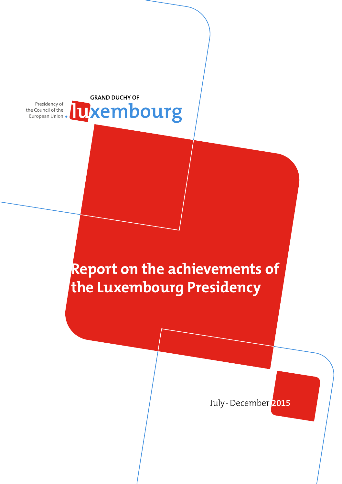Presidency of Fresidency of **LUxembourgers** the Council of the

**GRAND DUCHY OF** 

### **Report on the achievements of the Luxembourg Presidency**

July - December **2015**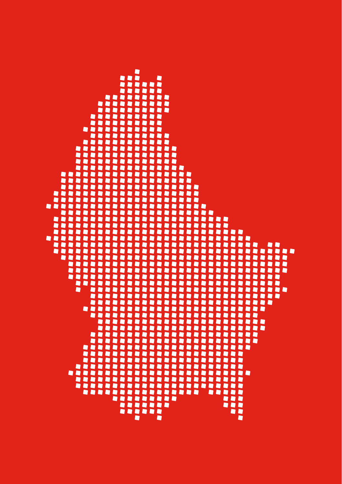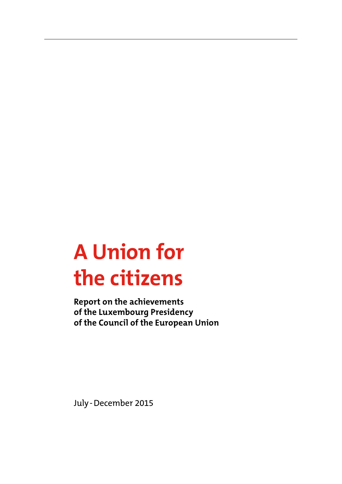# **A Union for the citizens**

**Report on the achievements of the Luxembourg Presidency of the Council of the European Union**

July - December 2015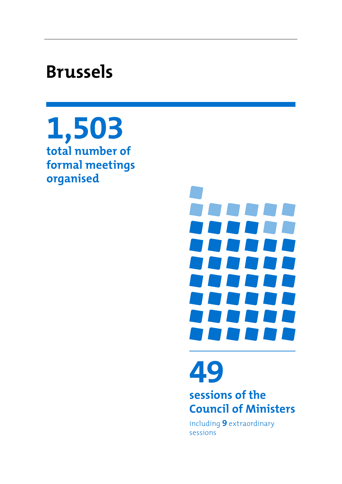## **Brussels**

**total number of formal meetings organised 1,503**



**49**

#### **sessions of the Council of Ministers**

including **9** extraordinary sessions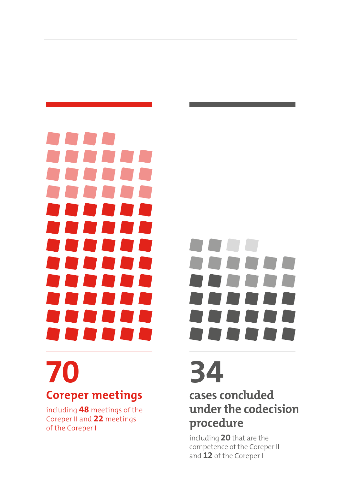

# **70 34**

including **48** meetings of the Coreper II and **22** meetings of the Coreper I

#### **Coreper meetings cases concluded under the codecision procedure**

including **20** that are the competence of the Coreper II and **12** of the Coreper I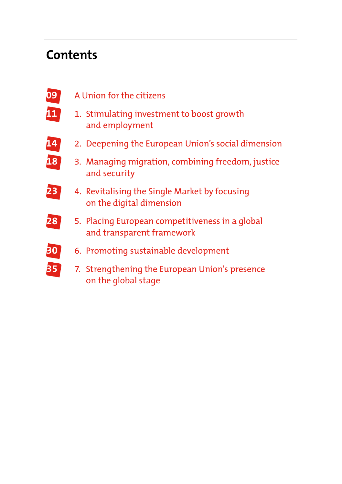#### **Contents**

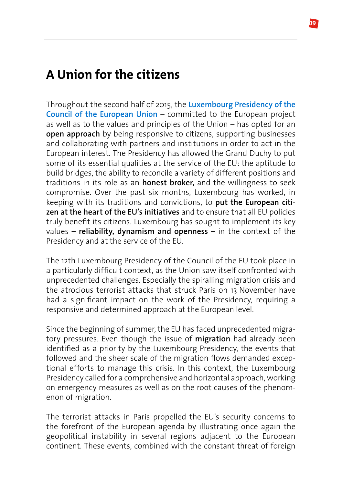#### **A Union for the citizens**

Throughout the second half of 2015, the **Luxembourg Presidency of the Council of the European Union** – committed to the European project as well as to the values and principles of the Union – has opted for an **open approach** by being responsive to citizens, supporting businesses and collaborating with partners and institutions in order to act in the European interest. The Presidency has allowed the Grand Duchy to put some of its essential qualities at the service of the EU: the aptitude to build bridges, the ability to reconcile a variety of different positions and traditions in its role as an **honest broker,** and the willingness to seek compromise. Over the past six months, Luxembourg has worked, in keeping with its traditions and convictions, to **put the European citizen at the heart of the EU's initiatives** and to ensure that all EU policies truly benefit its citizens. Luxembourg has sought to implement its key values – **reliability, dynamism and openness** – in the context of the Presidency and at the service of the EU.

The 12th Luxembourg Presidency of the Council of the EU took place in a particularly difficult context, as the Union saw itself confronted with unprecedented challenges. Especially the spiralling migration crisis and the atrocious terrorist attacks that struck Paris on 13 November have had a significant impact on the work of the Presidency, requiring a responsive and determined approach at the European level.

Since the beginning of summer, the EU has faced unprecedented migratory pressures. Even though the issue of **migration** had already been identified as a priority by the Luxembourg Presidency, the events that followed and the sheer scale of the migration flows demanded exceptional efforts to manage this crisis. In this context, the Luxembourg Presidency called for a comprehensive and horizontal approach, working on emergency measures as well as on the root causes of the phenomenon of migration.

The terrorist attacks in Paris propelled the EU's security concerns to the forefront of the European agenda by illustrating once again the geopolitical instability in several regions adjacent to the European continent. These events, combined with the constant threat of foreign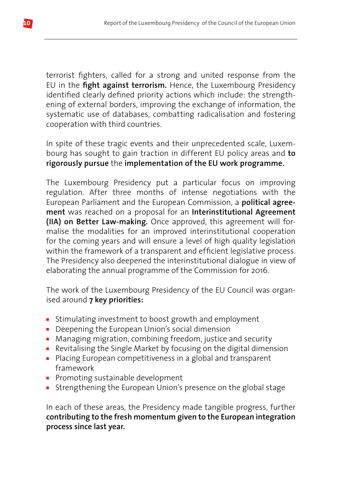terrorist fighters, called for a strong and united response from the EU in the **fight against terrorism.** Hence, the Luxembourg Presidency identified clearly defined priority actions which include: the strengthening of external borders, improving the exchange of information, the systematic use of databases, combatting radicalisation and fostering cooperation with third countries.

In spite of these tragic events and their unprecedented scale, Luxembourg has sought to gain traction in different EU policy areas and **to rigorously pursue** the **implementation of the EU work programme.** 

The Luxembourg Presidency put a particular focus on improving regulation. After three months of intense negotiations with the European Parliament and the European Commission, a **political agreement** was reached on a proposal for an **Interinstitutional Agreement (IIA) on Better Law-making.** Once approved, this agreement will formalise the modalities for an improved interinstitutional cooperation for the coming years and will ensure a level of high quality legislation within the framework of a transparent and efficient legislative process. The Presidency also deepened the interinstitutional dialogue in view of elaborating the annual programme of the Commission for 2016.

The work of the Luxembourg Presidency of the EU Council was organised around **7 key priorities:** 

- Stimulating investment to boost growth and employment
- Deepening the European Union's social dimension
- Managing migration, combining freedom, justice and security
- Revitalising the Single Market by focusing on the digital dimension
- Placing European competitiveness in a global and transparent framework
- Promoting sustainable development
- Strengthening the European Union's presence on the global stage

In each of these areas, the Presidency made tangible progress, further **contributing to the fresh momentum given to the European integration process since last year.**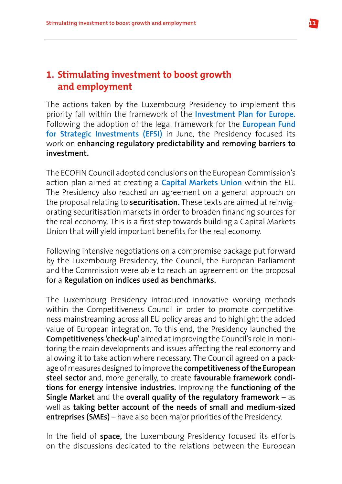#### **1. Stimulating investment to boost growth and employment**

The actions taken by the Luxembourg Presidency to implement this priority fall within the framework of the **Investment Plan for Europe.** Following the adoption of the legal framework for the **European Fund for Strategic Investments (EFSI)** in June, the Presidency focused its work on **enhancing regulatory predictability and removing barriers to investment.**

The ECOFIN Council adopted conclusions on the European Commission's action plan aimed at creating a **Capital Markets Union** within the EU. The Presidency also reached an agreement on a general approach on the proposal relating to **securitisation.** These texts are aimed at reinvigorating securitisation markets in order to broaden financing sources for the real economy. This is a first step towards building a Capital Markets Union that will yield important benefits for the real economy.

Following intensive negotiations on a compromise package put forward by the Luxembourg Presidency, the Council, the European Parliament and the Commission were able to reach an agreement on the proposal for a **Regulation on indices used as benchmarks.** 

The Luxembourg Presidency introduced innovative working methods within the Competitiveness Council in order to promote competitiveness mainstreaming across all EU policy areas and to highlight the added value of European integration. To this end, the Presidency launched the **Competitiveness 'check-up'** aimed at improving the Council's role in monitoring the main developments and issues affecting the real economy and allowing it to take action where necessary. The Council agreed on a package of measures designed to improve the **competitiveness of the European steel sector** and, more generally, to create **favourable framework conditions for energy intensive industries.** Improving the **functioning of the Single Market** and the **overall quality of the regulatory framework** – as well as **taking better account of the needs of small and medium-sized entreprises (SMEs)** – have also been major priorities of the Presidency.

In the field of **space,** the Luxembourg Presidency focused its efforts on the discussions dedicated to the relations between the European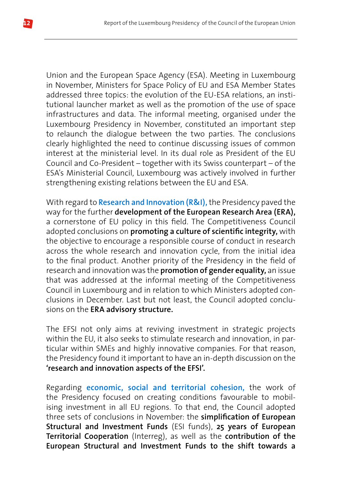Union and the European Space Agency (ESA). Meeting in Luxembourg in November, Ministers for Space Policy of EU and ESA Member States addressed three topics: the evolution of the EU-ESA relations, an institutional launcher market as well as the promotion of the use of space infrastructures and data. The informal meeting, organised under the Luxembourg Presidency in November, constituted an important step to relaunch the dialogue between the two parties. The conclusions clearly highlighted the need to continue discussing issues of common interest at the ministerial level. In its dual role as President of the EU Council and Co-President – together with its Swiss counterpart – of the ESA's Ministerial Council, Luxembourg was actively involved in further strengthening existing relations between the EU and ESA.

With regard to **Research and Innovation (R&I),** the Presidency paved the way for the further **development of the European Research Area (ERA),**  a cornerstone of EU policy in this field. The Competitiveness Council adopted conclusions on **promoting a culture of scientific integrity,** with the objective to encourage a responsible course of conduct in research across the whole research and innovation cycle, from the initial idea to the final product. Another priority of the Presidency in the field of research and innovation was the **promotion of gender equality,** an issue that was addressed at the informal meeting of the Competitiveness Council in Luxembourg and in relation to which Ministers adopted conclusions in December. Last but not least, the Council adopted conclusions on the **ERA advisory structure.**

The EFSI not only aims at reviving investment in strategic projects within the EU, it also seeks to stimulate research and innovation, in particular within SMEs and highly innovative companies. For that reason, the Presidency found it important to have an in-depth discussion on the **'research and innovation aspects of the EFSI'.**

Regarding **economic, social and territorial cohesion,** the work of the Presidency focused on creating conditions favourable to mobilising investment in all EU regions. To that end, the Council adopted three sets of conclusions in November: the **simplification of European Structural and Investment Funds** (ESI funds), **25 years of European Territorial Cooperation** (Interreg), as well as the **contribution of the European Structural and Investment Funds to the shift towards a**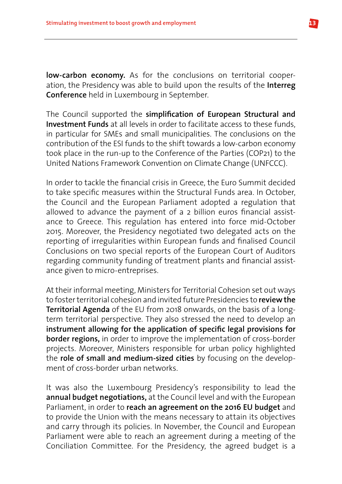**low-carbon economy.** As for the conclusions on territorial cooperation, the Presidency was able to build upon the results of the **Interreg Conference** held in Luxembourg in September.

The Council supported the **simplification of European Structural and Investment Funds** at all levels in order to facilitate access to these funds, in particular for SMEs and small municipalities. The conclusions on the contribution of the ESI funds to the shift towards a low-carbon economy took place in the run-up to the Conference of the Parties (COP21) to the United Nations Framework Convention on Climate Change (UNFCCC).

In order to tackle the financial crisis in Greece, the Euro Summit decided to take specific measures within the Structural Funds area. In October, the Council and the European Parliament adopted a regulation that allowed to advance the payment of a 2 billion euros financial assistance to Greece. This regulation has entered into force mid-October 2015. Moreover, the Presidency negotiated two delegated acts on the reporting of irregularities within European funds and finalised Council Conclusions on two special reports of the European Court of Auditors regarding community funding of treatment plants and financial assistance given to micro-entreprises.

At their informal meeting, Ministers for Territorial Cohesion set out ways to foster territorial cohesion and invited future Presidencies to **review the Territorial Agenda** of the EU from 2018 onwards, on the basis of a longterm territorial perspective. They also stressed the need to develop an **instrument allowing for the application of specific legal provisions for border regions,** in order to improve the implementation of cross-border projects. Moreover, Ministers responsible for urban policy highlighted the **role of small and medium-sized cities** by focusing on the development of cross-border urban networks.

It was also the Luxembourg Presidency's responsibility to lead the **annual budget negotiations,** at the Council level and with the European Parliament, in order to **reach an agreement on the 2016 EU budget** and to provide the Union with the means necessary to attain its objectives and carry through its policies. In November, the Council and European Parliament were able to reach an agreement during a meeting of the Conciliation Committee. For the Presidency, the agreed budget is a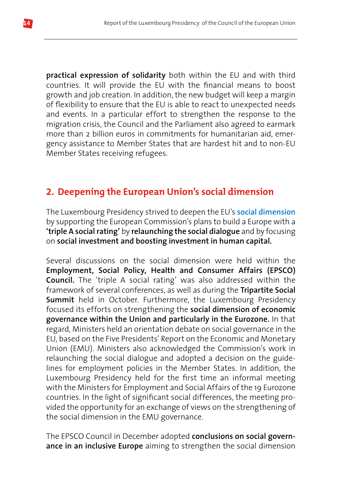**practical expression of solidarity** both within the EU and with third countries. It will provide the EU with the financial means to boost growth and job creation. In addition, the new budget will keep a margin of flexibility to ensure that the EU is able to react to unexpected needs and events. In a particular effort to strengthen the response to the migration crisis, the Council and the Parliament also agreed to earmark more than 2 billion euros in commitments for humanitarian aid, emergency assistance to Member States that are hardest hit and to non-EU Member States receiving refugees.

#### **2. Deepening the European Union's social dimension**

The Luxembourg Presidency strived to deepen the EU's **social dimension** by supporting the European Commission's plans to build a Europe with a **'triple A social rating'** by **relaunching the social dialogue** and by focusing on **social investment and boosting investment in human capital.** 

Several discussions on the social dimension were held within the **Employment, Social Policy, Health and Consumer Affairs (EPSCO) Council.** The 'triple A social rating' was also addressed within the framework of several conferences, as well as during the **Tripartite Social Summit** held in October. Furthermore, the Luxembourg Presidency focused its efforts on strengthening the **social dimension of economic governance within the Union and particularly in the Eurozone.** In that regard, Ministers held an orientation debate on social governance in the EU, based on the Five Presidents' Report on the Economic and Monetary Union (EMU). Ministers also acknowledged the Commission's work in relaunching the social dialogue and adopted a decision on the guidelines for employment policies in the Member States. In addition, the Luxembourg Presidency held for the first time an informal meeting with the Ministers for Employment and Social Affairs of the 19 Eurozone countries. In the light of significant social differences, the meeting provided the opportunity for an exchange of views on the strengthening of the social dimension in the EMU governance.

The EPSCO Council in December adopted **conclusions on social governance in an inclusive Europe** aiming to strengthen the social dimension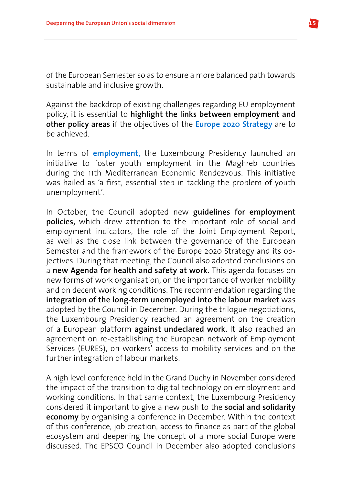of the European Semester so as to ensure a more balanced path towards sustainable and inclusive growth.

Against the backdrop of existing challenges regarding EU employment policy, it is essential to **highlight the links between employment and other policy areas** if the objectives of the **Europe 2020 Strategy** are to be achieved.

In terms of **employment,** the Luxembourg Presidency launched an initiative to foster youth employment in the Maghreb countries during the 11th Mediterranean Economic Rendezvous. This initiative was hailed as 'a first, essential step in tackling the problem of youth unemployment'.

In October, the Council adopted new **guidelines for employment policies,** which drew attention to the important role of social and employment indicators, the role of the Joint Employment Report, as well as the close link between the governance of the European Semester and the framework of the Europe 2020 Strategy and its objectives. During that meeting, the Council also adopted conclusions on a **new Agenda for health and safety at work.** This agenda focuses on new forms of work organisation, on the importance of worker mobility and on decent working conditions. The recommendation regarding the **integration of the long-term unemployed into the labour market** was adopted by the Council in December. During the trilogue negotiations, the Luxembourg Presidency reached an agreement on the creation of a European platform **against undeclared work.** It also reached an agreement on re-establishing the European network of Employment Services (EURES), on workers' access to mobility services and on the further integration of labour markets.

A high level conference held in the Grand Duchy in November considered the impact of the transition to digital technology on employment and working conditions. In that same context, the Luxembourg Presidency considered it important to give a new push to the **social and solidarity economy** by organising a conference in December. Within the context of this conference, job creation, access to finance as part of the global ecosystem and deepening the concept of a more social Europe were discussed. The EPSCO Council in December also adopted conclusions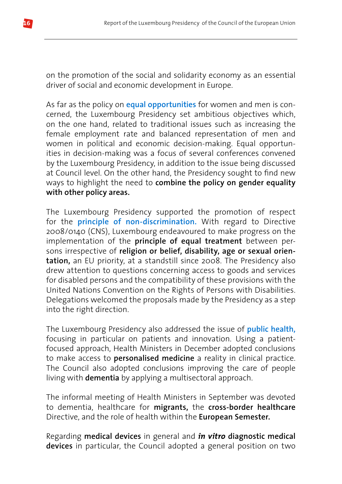on the promotion of the social and solidarity economy as an essential driver of social and economic development in Europe.

As far as the policy on **equal opportunities** for women and men is concerned, the Luxembourg Presidency set ambitious objectives which, on the one hand, related to traditional issues such as increasing the female employment rate and balanced representation of men and women in political and economic decision-making. Equal opportunities in decision-making was a focus of several conferences convened by the Luxembourg Presidency, in addition to the issue being discussed at Council level. On the other hand, the Presidency sought to find new ways to highlight the need to **combine the policy on gender equality with other policy areas.** 

The Luxembourg Presidency supported the promotion of respect for the **principle of non-discrimination.** With regard to Directive 2008/0140 (CNS), Luxembourg endeavoured to make progress on the implementation of the **principle of equal treatment** between persons irrespective of **religion or belief, disability, age or sexual orientation,** an EU priority, at a standstill since 2008. The Presidency also drew attention to questions concerning access to goods and services for disabled persons and the compatibility of these provisions with the United Nations Convention on the Rights of Persons with Disabilities. Delegations welcomed the proposals made by the Presidency as a step into the right direction.

The Luxembourg Presidency also addressed the issue of **public health,**  focusing in particular on patients and innovation. Using a patientfocused approach, Health Ministers in December adopted conclusions to make access to **personalised medicine** a reality in clinical practice. The Council also adopted conclusions improving the care of people living with **dementia** by applying a multisectoral approach.

The informal meeting of Health Ministers in September was devoted to dementia, healthcare for **migrants,** the **cross-border healthcare**  Directive, and the role of health within the **European Semester.**

Regarding **medical devices** in general and *in vitro* **diagnostic medical devices** in particular, the Council adopted a general position on two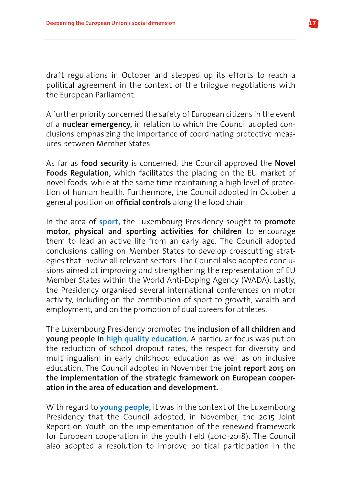draft regulations in October and stepped up its efforts to reach a political agreement in the context of the trilogue negotiations with the European Parliament.

A further priority concerned the safety of European citizens in the event of a **nuclear emergency,** in relation to which the Council adopted conclusions emphasizing the importance of coordinating protective measures between Member States.

As far as **food security** is concerned, the Council approved the **Novel Foods Regulation,** which facilitates the placing on the EU market of novel foods, while at the same time maintaining a high level of protection of human health. Furthermore, the Council adopted in October a general position on **official controls** along the food chain.

In the area of **sport,** the Luxembourg Presidency sought to **promote motor, physical and sporting activities for children** to encourage them to lead an active life from an early age. The Council adopted conclusions calling on Member States to develop crosscutting strategies that involve all relevant sectors. The Council also adopted conclusions aimed at improving and strengthening the representation of EU Member States within the World Anti-Doping Agency (WADA). Lastly, the Presidency organised several international conferences on motor activity, including on the contribution of sport to growth, wealth and employment, and on the promotion of dual careers for athletes.

The Luxembourg Presidency promoted the **inclusion of all children and young people in high quality education.** A particular focus was put on the reduction of school dropout rates, the respect for diversity and multilingualism in early childhood education as well as on inclusive education. The Council adopted in November the **joint report 2015 on the implementation of the strategic framework on European cooperation in the area of education and development.**

With regard to **young people,** it was in the context of the Luxembourg Presidency that the Council adopted, in November, the 2015 Joint Report on Youth on the implementation of the renewed framework for European cooperation in the youth field (2010-2018). The Council also adopted a resolution to improve political participation in the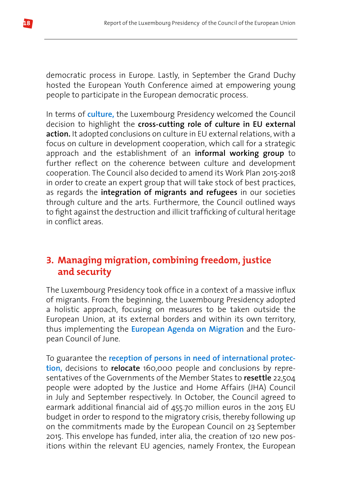democratic process in Europe. Lastly, in September the Grand Duchy hosted the European Youth Conference aimed at empowering young people to participate in the European democratic process.

In terms of **culture,** the Luxembourg Presidency welcomed the Council decision to highlight the **cross-cutting role of culture in EU external action.** It adopted conclusions on culture in EU external relations, with a focus on culture in development cooperation, which call for a strategic approach and the establishment of an **informal working group** to further reflect on the coherence between culture and development cooperation. The Council also decided to amend its Work Plan 2015-2018 in order to create an expert group that will take stock of best practices, as regards the **integration of migrants and refugees** in our societies through culture and the arts. Furthermore, the Council outlined ways to fight against the destruction and illicit trafficking of cultural heritage in conflict areas.

#### **3. Managing migration, combining freedom, justice and security**

The Luxembourg Presidency took office in a context of a massive influx of migrants. From the beginning, the Luxembourg Presidency adopted a holistic approach, focusing on measures to be taken outside the European Union, at its external borders and within its own territory, thus implementing the **European Agenda on Migration** and the European Council of June.

To guarantee the **reception of persons in need of international protection,** decisions to **relocate** 160,000 people and conclusions by representatives of the Governments of the Member States to **resettle** 22,504 people were adopted by the Justice and Home Affairs (JHA) Council in July and September respectively. In October, the Council agreed to earmark additional financial aid of 455.70 million euros in the 2015 EU budget in order to respond to the migratory crisis, thereby following up on the commitments made by the European Council on 23 September 2015. This envelope has funded, inter alia, the creation of 120 new positions within the relevant EU agencies, namely Frontex, the European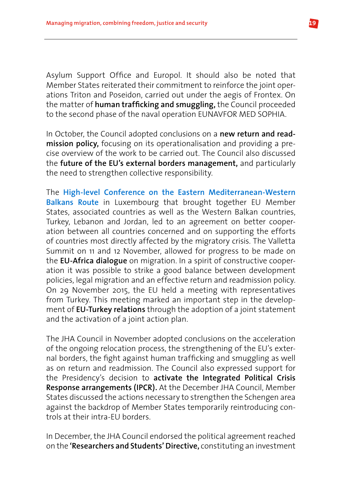Asylum Support Office and Europol. It should also be noted that Member States reiterated their commitment to reinforce the joint operations Triton and Poseidon, carried out under the aegis of Frontex. On the matter of **human trafficking and smuggling,** the Council proceeded to the second phase of the naval operation EUNAVFOR MED SOPHIA.

In October, the Council adopted conclusions on a **new return and readmission policy,** focusing on its operationalisation and providing a precise overview of the work to be carried out. The Council also discussed the **future of the EU's external borders management,** and particularly the need to strengthen collective responsibility.

The **High-level Conference on the Eastern Mediterranean-Western Balkans Route** in Luxembourg that brought together EU Member States, associated countries as well as the Western Balkan countries, Turkey, Lebanon and Jordan, led to an agreement on better cooperation between all countries concerned and on supporting the efforts of countries most directly affected by the migratory crisis. The Valletta Summit on 11 and 12 November, allowed for progress to be made on the **EU-Africa dialogue** on migration. In a spirit of constructive cooperation it was possible to strike a good balance between development policies, legal migration and an effective return and readmission policy. On 29 November 2015, the EU held a meeting with representatives from Turkey. This meeting marked an important step in the development of **EU-Turkey relations** through the adoption of a joint statement and the activation of a joint action plan.

The JHA Council in November adopted conclusions on the acceleration of the ongoing relocation process, the strengthening of the EU's external borders, the fight against human trafficking and smuggling as well as on return and readmission. The Council also expressed support for the Presidency's decision to **activate the Integrated Political Crisis Response arrangements (IPCR).** At the December JHA Council, Member States discussed the actions necessary to strengthen the Schengen area against the backdrop of Member States temporarily reintroducing controls at their intra-EU borders.

In December, the JHA Council endorsed the political agreement reached on the **'Researchers and Students' Directive,** constituting an investment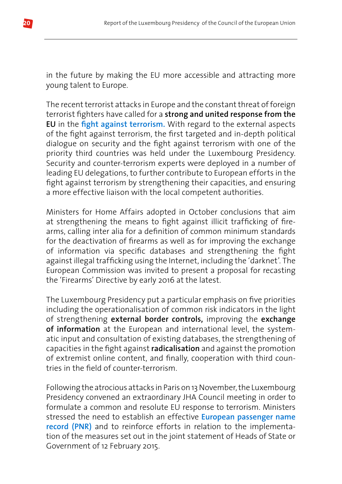in the future by making the EU more accessible and attracting more young talent to Europe.

The recent terrorist attacks in Europe and the constant threat of foreign terrorist fighters have called for a **strong and united response from the EU** in the **fight against terrorism.** With regard to the external aspects of the fight against terrorism, the first targeted and in-depth political dialogue on security and the fight against terrorism with one of the priority third countries was held under the Luxembourg Presidency. Security and counter-terrorism experts were deployed in a number of leading EU delegations, to further contribute to European efforts in the fight against terrorism by strengthening their capacities, and ensuring a more effective liaison with the local competent authorities.

Ministers for Home Affairs adopted in October conclusions that aim at strengthening the means to fight against illicit trafficking of firearms, calling inter alia for a definition of common minimum standards for the deactivation of firearms as well as for improving the exchange of information via specific databases and strengthening the fight against illegal trafficking using the Internet, including the 'darknet'. The European Commission was invited to present a proposal for recasting the 'Firearms' Directive by early 2016 at the latest.

The Luxembourg Presidency put a particular emphasis on five priorities including the operationalisation of common risk indicators in the light of strengthening **external border controls,** improving the **exchange of information** at the European and international level, the systematic input and consultation of existing databases, the strengthening of capacities in the fight against **radicalisation** and against the promotion of extremist online content, and finally, cooperation with third countries in the field of counter-terrorism.

Following the atrocious attacks in Paris on 13 November, the Luxembourg Presidency convened an extraordinary JHA Council meeting in order to formulate a common and resolute EU response to terrorism. Ministers stressed the need to establish an effective **European passenger name record (PNR)** and to reinforce efforts in relation to the implementation of the measures set out in the joint statement of Heads of State or Government of 12 February 2015.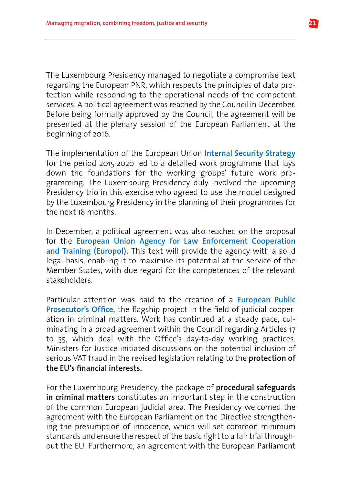The Luxembourg Presidency managed to negotiate a compromise text regarding the European PNR, which respects the principles of data protection while responding to the operational needs of the competent services. A political agreement was reached by the Council in December. Before being formally approved by the Council, the agreement will be presented at the plenary session of the European Parliament at the beginning of 2016.

The implementation of the European Union **Internal Security Strategy**  for the period 2015-2020 led to a detailed work programme that lays down the foundations for the working groups' future work programming. The Luxembourg Presidency duly involved the upcoming Presidency trio in this exercise who agreed to use the model designed by the Luxembourg Presidency in the planning of their programmes for the next 18 months.

In December, a political agreement was also reached on the proposal for the **European Union Agency for Law Enforcement Cooperation**  and Training (Europol). This text will provide the agency with a solid legal basis, enabling it to maximise its potential at the service of the Member States, with due regard for the competences of the relevant stakeholders.

Particular attention was paid to the creation of a **European Public Prosecutor's Office,** the flagship project in the field of judicial cooperation in criminal matters. Work has continued at a steady pace, culminating in a broad agreement within the Council regarding Articles 17 to 35, which deal with the Office's day-to-day working practices. Ministers for Justice initiated discussions on the potential inclusion of serious VAT fraud in the revised legislation relating to the **protection of the EU's financial interests.** 

For the Luxembourg Presidency, the package of **procedural safeguards in criminal matters** constitutes an important step in the construction of the common European judicial area. The Presidency welcomed the agreement with the European Parliament on the Directive strengthening the presumption of innocence, which will set common minimum standards and ensure the respect of the basic right to a fair trial throughout the EU. Furthermore, an agreement with the European Parliament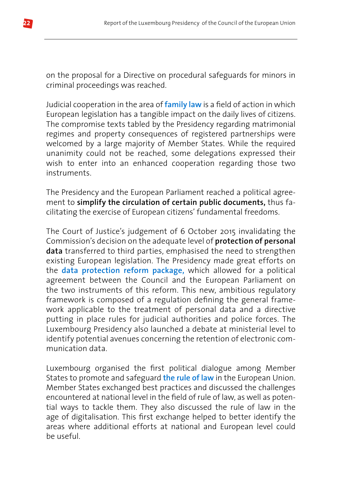on the proposal for a Directive on procedural safeguards for minors in criminal proceedings was reached.

Judicial cooperation in the area of **family law** is a field of action in which European legislation has a tangible impact on the daily lives of citizens. The compromise texts tabled by the Presidency regarding matrimonial regimes and property consequences of registered partnerships were welcomed by a large majority of Member States. While the required unanimity could not be reached, some delegations expressed their wish to enter into an enhanced cooperation regarding those two instruments.

The Presidency and the European Parliament reached a political agreement to **simplify the circulation of certain public documents,** thus facilitating the exercise of European citizens' fundamental freedoms.

The Court of Justice's judgement of 6 October 2015 invalidating the Commission's decision on the adequate level of **protection of personal data** transferred to third parties, emphasised the need to strengthen existing European legislation. The Presidency made great efforts on the **data protection reform package,** which allowed for a political agreement between the Council and the European Parliament on the two instruments of this reform. This new, ambitious regulatory framework is composed of a regulation defining the general framework applicable to the treatment of personal data and a directive putting in place rules for judicial authorities and police forces. The Luxembourg Presidency also launched a debate at ministerial level to identify potential avenues concerning the retention of electronic communication data.

Luxembourg organised the first political dialogue among Member States to promote and safeguard **the rule of law** in the European Union. Member States exchanged best practices and discussed the challenges encountered at national level in the field of rule of law, as well as potential ways to tackle them. They also discussed the rule of law in the age of digitalisation. This first exchange helped to better identify the areas where additional efforts at national and European level could be useful.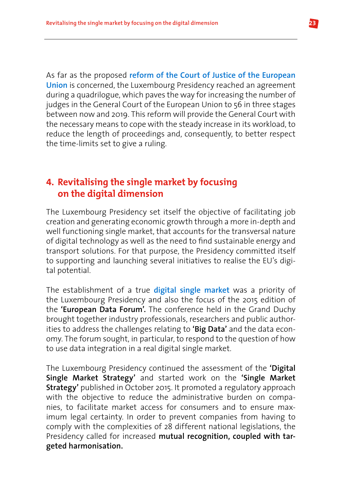As far as the proposed **reform of the Court of Justice of the European Union** is concerned, the Luxembourg Presidency reached an agreement during a quadrilogue, which paves the way for increasing the number of judges in the General Court of the European Union to 56 in three stages between now and 2019. This reform will provide the General Court with the necessary means to cope with the steady increase in its workload, to reduce the length of proceedings and, consequently, to better respect the time-limits set to give a ruling.

#### **4. Revitalising the single market by focusing on the digital dimension**

The Luxembourg Presidency set itself the objective of facilitating job creation and generating economic growth through a more in-depth and well functioning single market, that accounts for the transversal nature of digital technology as well as the need to find sustainable energy and transport solutions. For that purpose, the Presidency committed itself to supporting and launching several initiatives to realise the EU's digital potential.

The establishment of a true **digital single market** was a priority of the Luxembourg Presidency and also the focus of the 2015 edition of the **'European Data Forum'.** The conference held in the Grand Duchy brought together industry professionals, researchers and public authorities to address the challenges relating to **'Big Data'** and the data economy. The forum sought, in particular, to respond to the question of how to use data integration in a real digital single market.

The Luxembourg Presidency continued the assessment of the **'Digital Single Market Strategy'** and started work on the **'Single Market Strategy'** published in October 2015. It promoted a regulatory approach with the objective to reduce the administrative burden on companies, to facilitate market access for consumers and to ensure maximum legal certainty. In order to prevent companies from having to comply with the complexities of 28 different national legislations, the Presidency called for increased **mutual recognition, coupled with targeted harmonisation.**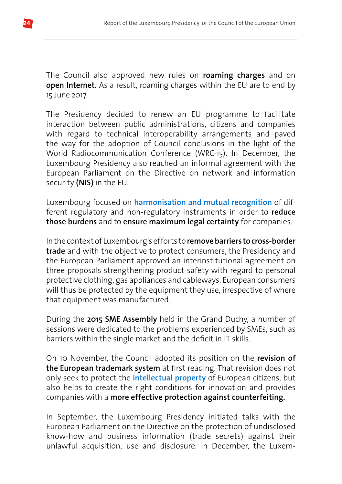The Council also approved new rules on **roaming charges** and on **open Internet.** As a result, roaming charges within the EU are to end by 15 June 2017.

The Presidency decided to renew an EU programme to facilitate interaction between public administrations, citizens and companies with regard to technical interoperability arrangements and paved the way for the adoption of Council conclusions in the light of the World Radiocommunication Conference (WRC-15). In December, the Luxembourg Presidency also reached an informal agreement with the European Parliament on the Directive on network and information security **(NIS)** in the EU.

Luxembourg focused on **harmonisation and mutual recognition** of different regulatory and non-regulatory instruments in order to **reduce those burdens** and to **ensure maximum legal certainty** for companies.

In the context of Luxembourg's efforts to **remove barriers to cross-border trade** and with the objective to protect consumers, the Presidency and the European Parliament approved an interinstitutional agreement on three proposals strengthening product safety with regard to personal protective clothing, gas appliances and cableways. European consumers will thus be protected by the equipment they use, irrespective of where that equipment was manufactured.

During the **2015 SME Assembly** held in the Grand Duchy, a number of sessions were dedicated to the problems experienced by SMEs, such as barriers within the single market and the deficit in IT skills.

On 10 November, the Council adopted its position on the **revision of the European trademark system** at first reading. That revision does not only seek to protect the **intellectual property** of European citizens, but also helps to create the right conditions for innovation and provides companies with a **more effective protection against counterfeiting.** 

In September, the Luxembourg Presidency initiated talks with the European Parliament on the Directive on the protection of undisclosed know-how and business information (trade secrets) against their unlawful acquisition, use and disclosure. In December, the Luxem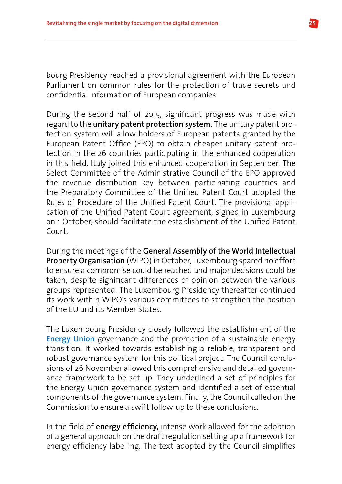bourg Presidency reached a provisional agreement with the European Parliament on common rules for the protection of trade secrets and confidential information of European companies.

During the second half of 2015, significant progress was made with regard to the **unitary patent protection system.** The unitary patent protection system will allow holders of European patents granted by the European Patent Office (EPO) to obtain cheaper unitary patent protection in the 26 countries participating in the enhanced cooperation in this field. Italy joined this enhanced cooperation in September. The Select Committee of the Administrative Council of the EPO approved the revenue distribution key between participating countries and the Preparatory Committee of the Unified Patent Court adopted the Rules of Procedure of the Unified Patent Court. The provisional application of the Unified Patent Court agreement, signed in Luxembourg on 1 October, should facilitate the establishment of the Unified Patent Court.

During the meetings of the **General Assembly of the World Intellectual Property Organisation** (WIPO) in October, Luxembourg spared no effort to ensure a compromise could be reached and major decisions could be taken, despite significant differences of opinion between the various groups represented. The Luxembourg Presidency thereafter continued its work within WIPO's various committees to strengthen the position of the EU and its Member States.

The Luxembourg Presidency closely followed the establishment of the **Energy Union** governance and the promotion of a sustainable energy transition. It worked towards establishing a reliable, transparent and robust governance system for this political project. The Council conclusions of 26 November allowed this comprehensive and detailed governance framework to be set up. They underlined a set of principles for the Energy Union governance system and identified a set of essential components of the governance system. Finally, the Council called on the Commission to ensure a swift follow-up to these conclusions.

In the field of **energy efficiency,** intense work allowed for the adoption of a general approach on the draft regulation setting up a framework for energy efficiency labelling. The text adopted by the Council simplifies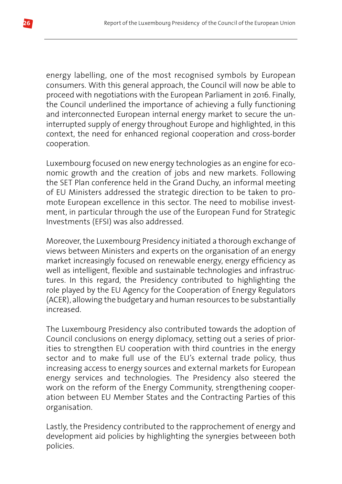energy labelling, one of the most recognised symbols by European consumers. With this general approach, the Council will now be able to proceed with negotiations with the European Parliament in 2016. Finally, the Council underlined the importance of achieving a fully functioning and interconnected European internal energy market to secure the uninterrupted supply of energy throughout Europe and highlighted, in this context, the need for enhanced regional cooperation and cross-border cooperation.

Luxembourg focused on new energy technologies as an engine for economic growth and the creation of jobs and new markets. Following the SET Plan conference held in the Grand Duchy, an informal meeting of EU Ministers addressed the strategic direction to be taken to promote European excellence in this sector. The need to mobilise investment, in particular through the use of the European Fund for Strategic Investments (EFSI) was also addressed.

Moreover, the Luxembourg Presidency initiated a thorough exchange of views between Ministers and experts on the organisation of an energy market increasingly focused on renewable energy, energy efficiency as well as intelligent, flexible and sustainable technologies and infrastructures. In this regard, the Presidency contributed to highlighting the role played by the EU Agency for the Cooperation of Energy Regulators (ACER), allowing the budgetary and human resources to be substantially increased.

The Luxembourg Presidency also contributed towards the adoption of Council conclusions on energy diplomacy, setting out a series of priorities to strengthen EU cooperation with third countries in the energy sector and to make full use of the EU's external trade policy, thus increasing access to energy sources and external markets for European energy services and technologies. The Presidency also steered the work on the reform of the Energy Community, strengthening cooperation between EU Member States and the Contracting Parties of this organisation.

Lastly, the Presidency contributed to the rapprochement of energy and development aid policies by highlighting the synergies betweeen both policies.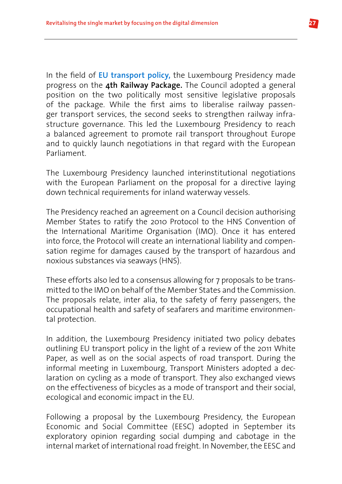In the field of **EU transport policy,** the Luxembourg Presidency made progress on the **4th Railway Package.** The Council adopted a general position on the two politically most sensitive legislative proposals of the package. While the first aims to liberalise railway passenger transport services, the second seeks to strengthen railway infrastructure governance. This led the Luxembourg Presidency to reach a balanced agreement to promote rail transport throughout Europe and to quickly launch negotiations in that regard with the European Parliament.

The Luxembourg Presidency launched interinstitutional negotiations with the European Parliament on the proposal for a directive laying down technical requirements for inland waterway vessels.

The Presidency reached an agreement on a Council decision authorising Member States to ratify the 2010 Protocol to the HNS Convention of the International Maritime Organisation (IMO). Once it has entered into force, the Protocol will create an international liability and compensation regime for damages caused by the transport of hazardous and noxious substances via seaways (HNS).

These efforts also led to a consensus allowing for 7 proposals to be transmitted to the IMO on behalf of the Member States and the Commission. The proposals relate, inter alia, to the safety of ferry passengers, the occupational health and safety of seafarers and maritime environmental protection.

In addition, the Luxembourg Presidency initiated two policy debates outlining EU transport policy in the light of a review of the 2011 White Paper, as well as on the social aspects of road transport. During the informal meeting in Luxembourg, Transport Ministers adopted a declaration on cycling as a mode of transport. They also exchanged views on the effectiveness of bicycles as a mode of transport and their social, ecological and economic impact in the EU.

Following a proposal by the Luxembourg Presidency, the European Economic and Social Committee (EESC) adopted in September its exploratory opinion regarding social dumping and cabotage in the internal market of international road freight. In November, the EESC and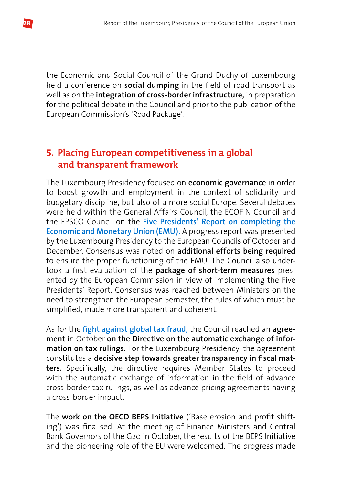the Economic and Social Council of the Grand Duchy of Luxembourg held a conference on **social dumping** in the field of road transport as well as on the **integration of cross-border infrastructure,** in preparation for the political debate in the Council and prior to the publication of the European Commission's 'Road Package'.

#### **5. Placing European competitiveness in a global and transparent framework**

The Luxembourg Presidency focused on **economic governance** in order to boost growth and employment in the context of solidarity and budgetary discipline, but also of a more social Europe. Several debates were held within the General Affairs Council, the ECOFIN Council and the EPSCO Council on the **Five Presidents' Report on completing the Economic and Monetary Union (EMU).** A progress report was presented by the Luxembourg Presidency to the European Councils of October and December. Consensus was noted on **additional efforts being required** to ensure the proper functioning of the EMU. The Council also undertook a first evaluation of the **package of short-term measures** presented by the European Commission in view of implementing the Five Presidents' Report. Consensus was reached between Ministers on the need to strengthen the European Semester, the rules of which must be simplified, made more transparent and coherent.

As for the **fight against global tax fraud,** the Council reached an **agreement** in October **on the Directive on the automatic exchange of information on tax rulings.** For the Luxembourg Presidency, the agreement constitutes a **decisive step towards greater transparency in fiscal matters.** Specifically, the directive requires Member States to proceed with the automatic exchange of information in the field of advance cross-border tax rulings, as well as advance pricing agreements having a cross-border impact.

The **work on the OECD BEPS Initiative** ('Base erosion and profit shifting') was finalised. At the meeting of Finance Ministers and Central Bank Governors of the G20 in October, the results of the BEPS Initiative and the pioneering role of the EU were welcomed. The progress made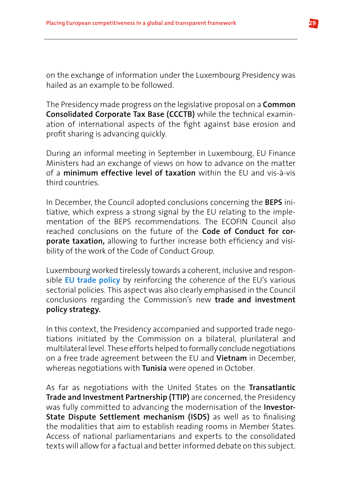on the exchange of information under the Luxembourg Presidency was hailed as an example to be followed.

The Presidency made progress on the legislative proposal on a **Common Consolidated Corporate Tax Base (CCCTB)** while the technical examination of international aspects of the fight against base erosion and profit sharing is advancing quickly.

During an informal meeting in September in Luxembourg, EU Finance Ministers had an exchange of views on how to advance on the matter of a **minimum effective level of taxation** within the EU and vis-à-vis third countries.

In December, the Council adopted conclusions concerning the **BEPS** initiative, which express a strong signal by the EU relating to the implementation of the BEPS recommendations. The ECOFIN Council also reached conclusions on the future of the **Code of Conduct for corporate taxation,** allowing to further increase both efficiency and visibility of the work of the Code of Conduct Group.

Luxembourg worked tirelessly towards a coherent, inclusive and responsible **EU trade policy** by reinforcing the coherence of the EU's various sectorial policies. This aspect was also clearly emphasised in the Council conclusions regarding the Commission's new **trade and investment policy strategy.**

In this context, the Presidency accompanied and supported trade negotiations initiated by the Commission on a bilateral, plurilateral and multilateral level. These efforts helped to formally conclude negotiations on a free trade agreement between the EU and **Vietnam** in December, whereas negotiations with **Tunisia** were opened in October.

As far as negotiations with the United States on the **Transatlantic Trade and Investment Partnership (TTIP)** are concerned, the Presidency was fully committed to advancing the modernisation of the **Investor-State Dispute Settlement mechanism (ISDS)** as well as to finalising the modalities that aim to establish reading rooms in Member States. Access of national parliamentarians and experts to the consolidated texts will allow for a factual and better informed debate on this subject.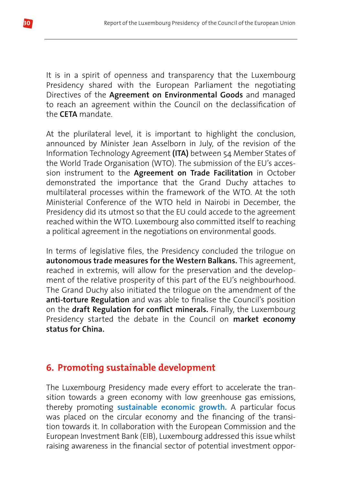It is in a spirit of openness and transparency that the Luxembourg Presidency shared with the European Parliament the negotiating Directives of the **Agreement on Environmental Goods** and managed to reach an agreement within the Council on the declassification of the **CETA** mandate.

At the plurilateral level, it is important to highlight the conclusion, announced by Minister Jean Asselborn in July, of the revision of the Information Technology Agreement **(ITA)** between 54 Member States of the World Trade Organisation (WTO). The submission of the EU's accession instrument to the **Agreement on Trade Facilitation** in October demonstrated the importance that the Grand Duchy attaches to multilateral processes within the framework of the WTO. At the 10th Ministerial Conference of the WTO held in Nairobi in December, the Presidency did its utmost so that the EU could accede to the agreement reached within the WTO. Luxembourg also committed itself to reaching a political agreement in the negotiations on environmental goods.

In terms of legislative files, the Presidency concluded the trilogue on **autonomous trade measures for the Western Balkans.** This agreement, reached in extremis, will allow for the preservation and the development of the relative prosperity of this part of the EU's neighbourhood. The Grand Duchy also initiated the trilogue on the amendment of the **anti-torture Regulation** and was able to finalise the Council's position on the **draft Regulation for conflict minerals.** Finally, the Luxembourg Presidency started the debate in the Council on **market economy status for China.**

#### **6. Promoting sustainable development**

The Luxembourg Presidency made every effort to accelerate the transition towards a green economy with low greenhouse gas emissions, thereby promoting **sustainable economic growth.** A particular focus was placed on the circular economy and the financing of the transition towards it. In collaboration with the European Commission and the European Investment Bank (EIB), Luxembourg addressed this issue whilst raising awareness in the financial sector of potential investment oppor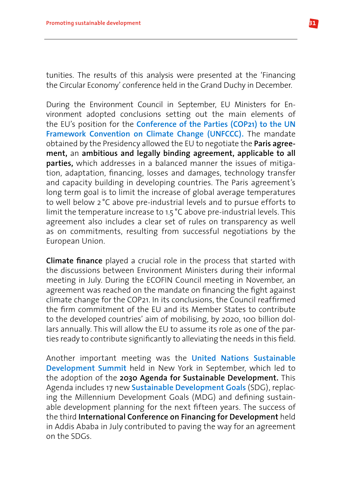tunities. The results of this analysis were presented at the 'Financing the Circular Economy' conference held in the Grand Duchy in December.

During the Environment Council in September, EU Ministers for Environment adopted conclusions setting out the main elements of the EU's position for the **Conference of the Parties (COP21) to the UN Framework Convention on Climate Change (UNFCCC).** The mandate obtained by the Presidency allowed the EU to negotiate the **Paris agreement,** an **ambitious and legally binding agreement, applicable to all parties,** which addresses in a balanced manner the issues of mitigation, adaptation, financing, losses and damages, technology transfer and capacity building in developing countries. The Paris agreement's long term goal is to limit the increase of global average temperatures to well below 2 °C above pre-industrial levels and to pursue efforts to limit the temperature increase to 1.5 °C above pre-industrial levels. This agreement also includes a clear set of rules on transparency as well as on commitments, resulting from successful negotiations by the European Union.

**Climate finance** played a crucial role in the process that started with the discussions between Environment Ministers during their informal meeting in July. During the ECOFIN Council meeting in November, an agreement was reached on the mandate on financing the fight against climate change for the COP21. In its conclusions, the Council reaffirmed the firm commitment of the EU and its Member States to contribute to the developed countries' aim of mobilising, by 2020, 100 billion dollars annually. This will allow the EU to assume its role as one of the parties ready to contribute significantly to alleviating the needs in this field.

Another important meeting was the **United Nations Sustainable Development Summit** held in New York in September, which led to the adoption of the **2030 Agenda for Sustainable Development.** This Agenda includes 17 new **Sustainable Development Goals** (SDG), replacing the Millennium Development Goals (MDG) and defining sustainable development planning for the next fifteen years. The success of the third **International Conference on Financing for Development** held in Addis Ababa in July contributed to paving the way for an agreement on the SDGs.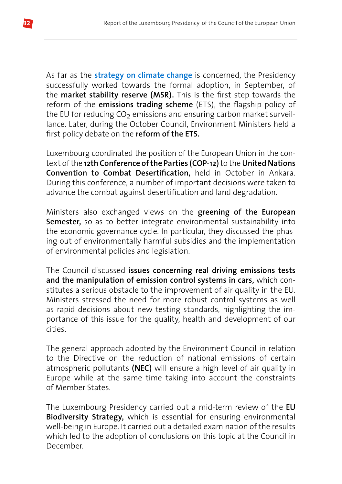As far as the **strategy on climate change** is concerned, the Presidency successfully worked towards the formal adoption, in September, of the **market stability reserve (MSR).** This is the first step towards the reform of the **emissions trading scheme** (ETS), the flagship policy of the EU for reducing  $CO<sub>2</sub>$  emissions and ensuring carbon market surveillance. Later, during the October Council, Environment Ministers held a first policy debate on the **reform of the ETS.**

Luxembourg coordinated the position of the European Union in the context of the **12th Conference of the Parties (COP-12)** to the **United Nations Convention to Combat Desertification,** held in October in Ankara. During this conference, a number of important decisions were taken to advance the combat against desertification and land degradation.

Ministers also exchanged views on the **greening of the European Semester,** so as to better integrate environmental sustainability into the economic governance cycle. In particular, they discussed the phasing out of environmentally harmful subsidies and the implementation of environmental policies and legislation.

The Council discussed **issues concerning real driving emissions tests and the manipulation of emission control systems in cars,** which constitutes a serious obstacle to the improvement of air quality in the EU. Ministers stressed the need for more robust control systems as well as rapid decisions about new testing standards, highlighting the importance of this issue for the quality, health and development of our cities.

The general approach adopted by the Environment Council in relation to the Directive on the reduction of national emissions of certain atmospheric pollutants **(NEC)** will ensure a high level of air quality in Europe while at the same time taking into account the constraints of Member States.

The Luxembourg Presidency carried out a mid-term review of the **EU Biodiversity Strategy,** which is essential for ensuring environmental well-being in Europe. It carried out a detailed examination of the results which led to the adoption of conclusions on this topic at the Council in December.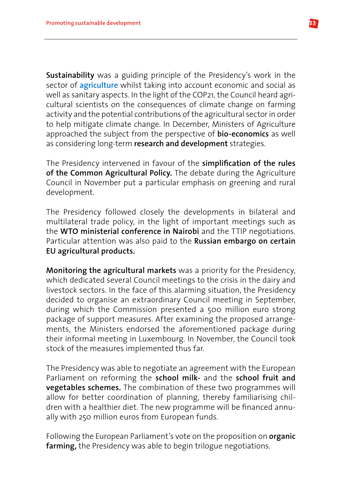**Sustainability** was a guiding principle of the Presidency's work in the sector of **agriculture** whilst taking into account economic and social as well as sanitary aspects. In the light of the COP21, the Council heard agricultural scientists on the consequences of climate change on farming activity and the potential contributions of the agricultural sector in order to help mitigate climate change. In December, Ministers of Agriculture approached the subject from the perspective of **bio-economics** as well as considering long-term **research and development** strategies.

The Presidency intervened in favour of the **simplification of the rules of the Common Agricultural Policy.** The debate during the Agriculture Council in November put a particular emphasis on greening and rural development.

The Presidency followed closely the developments in bilateral and multilateral trade policy, in the light of important meetings such as the **WTO ministerial conference in Nairobi** and the TTIP negotiations. Particular attention was also paid to the **Russian embargo on certain EU agricultural products.**

**Monitoring the agricultural markets** was a priority for the Presidency, which dedicated several Council meetings to the crisis in the dairy and livestock sectors. In the face of this alarming situation, the Presidency decided to organise an extraordinary Council meeting in September, during which the Commission presented a 500 million euro strong package of support measures. After examining the proposed arrangements, the Ministers endorsed the aforementioned package during their informal meeting in Luxembourg. In November, the Council took stock of the measures implemented thus far.

The Presidency was able to negotiate an agreement with the European Parliament on reforming the **school milk-** and the **school fruit and vegetables schemes.** The combination of these two programmes will allow for better coordination of planning, thereby familiarising children with a healthier diet. The new programme will be financed annually with 250 million euros from European funds.

Following the European Parliament's vote on the proposition on **organic farming,** the Presidency was able to begin trilogue negotiations.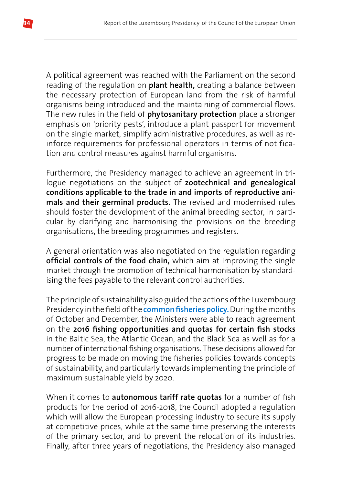A political agreement was reached with the Parliament on the second reading of the regulation on **plant health,** creating a balance between the necessary protection of European land from the risk of harmful organisms being introduced and the maintaining of commercial flows. The new rules in the field of **phytosanitary protection** place a stronger emphasis on 'priority pests', introduce a plant passport for movement on the single market, simplify administrative procedures, as well as reinforce requirements for professional operators in terms of notification and control measures against harmful organisms.

Furthermore, the Presidency managed to achieve an agreement in trilogue negotiations on the subject of **zootechnical and genealogical conditions applicable to the trade in and imports of reproductive animals and their germinal products.** The revised and modernised rules should foster the development of the animal breeding sector, in particular by clarifying and harmonising the provisions on the breeding organisations, the breeding programmes and registers.

A general orientation was also negotiated on the regulation regarding **official controls of the food chain,** which aim at improving the single market through the promotion of technical harmonisation by standardising the fees payable to the relevant control authorities.

The principle of sustainability also guided the actions of the Luxembourg Presidency in the field of the **common fisheries policy.** During the months of October and December, the Ministers were able to reach agreement on the **2016 fishing opportunities and quotas for certain fish stocks** in the Baltic Sea, the Atlantic Ocean, and the Black Sea as well as for a number of international fishing organisations. These decisions allowed for progress to be made on moving the fisheries policies towards concepts of sustainability, and particularly towards implementing the principle of maximum sustainable yield by 2020.

When it comes to **autonomous tariff rate quotas** for a number of fish products for the period of 2016-2018, the Council adopted a regulation which will allow the European processing industry to secure its supply at competitive prices, while at the same time preserving the interests of the primary sector, and to prevent the relocation of its industries. Finally, after three years of negotiations, the Presidency also managed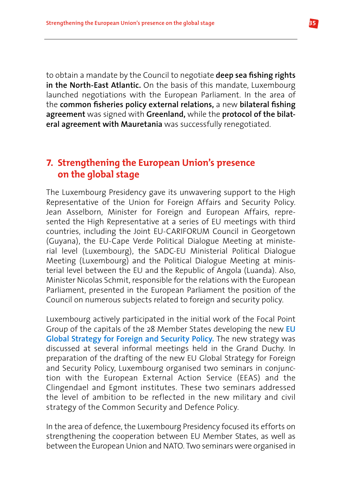to obtain a mandate by the Council to negotiate **deep sea fishing rights in the North-East Atlantic.** On the basis of this mandate, Luxembourg launched negotiations with the European Parliament. In the area of the **common fisheries policy external relations,** a new **bilateral fishing agreement** was signed with **Greenland,** while the **protocol of the bilateral agreement with Mauretania** was successfully renegotiated.

#### **7. Strengthening the European Union's presence on the global stage**

The Luxembourg Presidency gave its unwavering support to the High Representative of the Union for Foreign Affairs and Security Policy. Jean Asselborn, Minister for Foreign and European Affairs, represented the High Representative at a series of EU meetings with third countries, including the Joint EU-CARIFORUM Council in Georgetown (Guyana), the EU-Cape Verde Political Dialogue Meeting at ministerial level (Luxembourg), the SADC-EU Ministerial Political Dialogue Meeting (Luxembourg) and the Political Dialogue Meeting at ministerial level between the EU and the Republic of Angola (Luanda). Also, Minister Nicolas Schmit, responsible for the relations with the European Parliament, presented in the European Parliament the position of the Council on numerous subjects related to foreign and security policy.

Luxembourg actively participated in the initial work of the Focal Point Group of the capitals of the 28 Member States developing the new **EU Global Strategy for Foreign and Security Policy.** The new strategy was discussed at several informal meetings held in the Grand Duchy. In preparation of the drafting of the new EU Global Strategy for Foreign and Security Policy, Luxembourg organised two seminars in conjunction with the European External Action Service (EEAS) and the Clingendael and Egmont institutes. These two seminars addressed the level of ambition to be reflected in the new military and civil strategy of the Common Security and Defence Policy.

In the area of defence, the Luxembourg Presidency focused its efforts on strengthening the cooperation between EU Member States, as well as between the European Union and NATO. Two seminars were organised in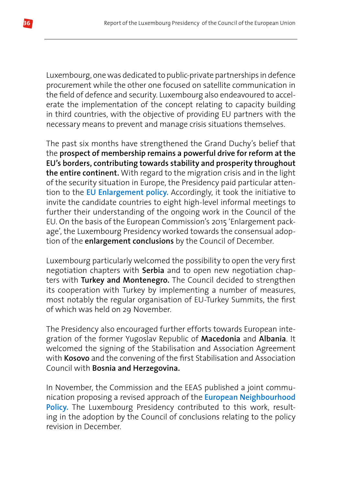Luxembourg, one was dedicated to public-private partnerships in defence procurement while the other one focused on satellite communication in the field of defence and security. Luxembourg also endeavoured to accelerate the implementation of the concept relating to capacity building in third countries, with the objective of providing EU partners with the necessary means to prevent and manage crisis situations themselves.

The past six months have strengthened the Grand Duchy's belief that the **prospect of membership remains a powerful drive for reform at the EU's borders, contributing towards stability and prosperity throughout the entire continent.** With regard to the migration crisis and in the light of the security situation in Europe, the Presidency paid particular attention to the **EU Enlargement policy.** Accordingly, it took the initiative to invite the candidate countries to eight high-level informal meetings to further their understanding of the ongoing work in the Council of the EU. On the basis of the European Commission's 2015 'Enlargement package', the Luxembourg Presidency worked towards the consensual adoption of the **enlargement conclusions** by the Council of December.

Luxembourg particularly welcomed the possibility to open the very first negotiation chapters with **Serbia** and to open new negotiation chapters with **Turkey and Montenegro.** The Council decided to strengthen its cooperation with Turkey by implementing a number of measures, most notably the regular organisation of EU-Turkey Summits, the first of which was held on 29 November.

The Presidency also encouraged further efforts towards European integration of the former Yugoslav Republic of **Macedonia** and **Albania**. It welcomed the signing of the Stabilisation and Association Agreement with **Kosovo** and the convening of the first Stabilisation and Association Council with **Bosnia and Herzegovina.**

In November, the Commission and the EEAS published a joint communication proposing a revised approach of the **European Neighbourhood**  Policy. The Luxembourg Presidency contributed to this work, resulting in the adoption by the Council of conclusions relating to the policy revision in December.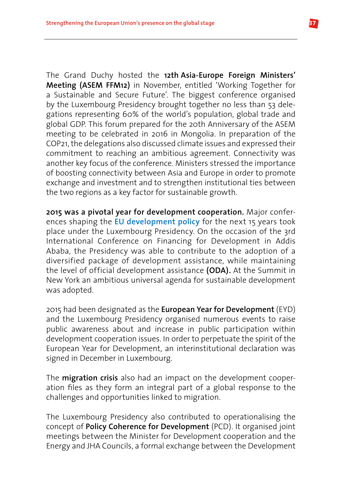The Grand Duchy hosted the **12th Asia-Europe Foreign Ministers' Meeting (ASEM FFM12)** in November, entitled 'Working Together for a Sustainable and Secure Future'. The biggest conference organised by the Luxembourg Presidency brought together no less than 53 delegations representing 60% of the world's population, global trade and global GDP. This forum prepared for the 20th Anniversary of the ASEM meeting to be celebrated in 2016 in Mongolia. In preparation of the COP21, the delegations also discussed climate issues and expressed their commitment to reaching an ambitious agreement. Connectivity was another key focus of the conference. Ministers stressed the importance of boosting connectivity between Asia and Europe in order to promote exchange and investment and to strengthen institutional ties between the two regions as a key factor for sustainable growth.

**2015 was a pivotal year for development cooperation.** Major conferences shaping the **EU development policy** for the next 15 years took place under the Luxembourg Presidency. On the occasion of the 3rd International Conference on Financing for Development in Addis Ababa, the Presidency was able to contribute to the adoption of a diversified package of development assistance, while maintaining the level of official development assistance **(ODA).** At the Summit in New York an ambitious universal agenda for sustainable development was adopted.

2015 had been designated as the **European Year for Development** (EYD) and the Luxembourg Presidency organised numerous events to raise public awareness about and increase in public participation within development cooperation issues. In order to perpetuate the spirit of the European Year for Development, an interinstitutional declaration was signed in December in Luxembourg.

The **migration crisis** also had an impact on the development cooperation files as they form an integral part of a global response to the challenges and opportunities linked to migration.

The Luxembourg Presidency also contributed to operationalising the concept of **Policy Coherence for Development** (PCD). It organised joint meetings between the Minister for Development cooperation and the Energy and JHA Councils, a formal exchange between the Development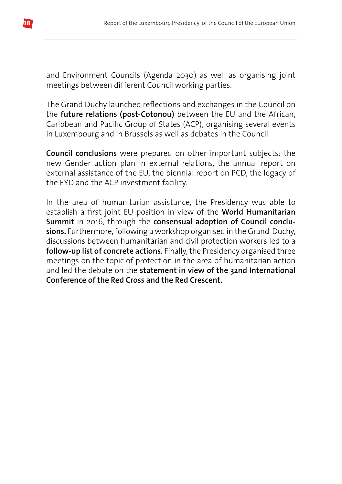and Environment Councils (Agenda 2030) as well as organising joint meetings between different Council working parties.

The Grand Duchy launched reflections and exchanges in the Council on the **future relations (post-Cotonou)** between the EU and the African, Caribbean and Pacific Group of States (ACP), organising several events in Luxembourg and in Brussels as well as debates in the Council.

**Council conclusions** were prepared on other important subjects: the new Gender action plan in external relations, the annual report on external assistance of the EU, the biennial report on PCD, the legacy of the EYD and the ACP investment facility.

In the area of humanitarian assistance, the Presidency was able to establish a first joint EU position in view of the **World Humanitarian Summit** in 2016, through the **consensual adoption of Council conclu**sions. Furthermore, following a workshop organised in the Grand-Duchy, discussions between humanitarian and civil protection workers led to a **follow-up list of concrete actions.** Finally, the Presidency organised three meetings on the topic of protection in the area of humanitarian action and led the debate on the **statement in view of the 32nd International Conference of the Red Cross and the Red Crescent.**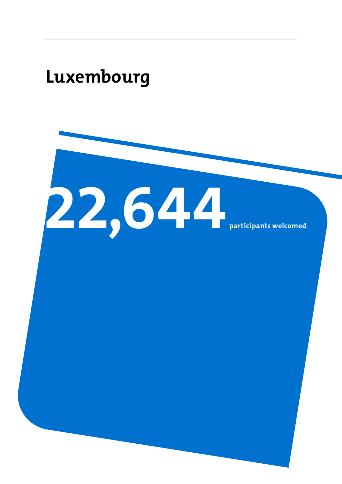# **Luxembourg**

# **22,644 participants welcomed**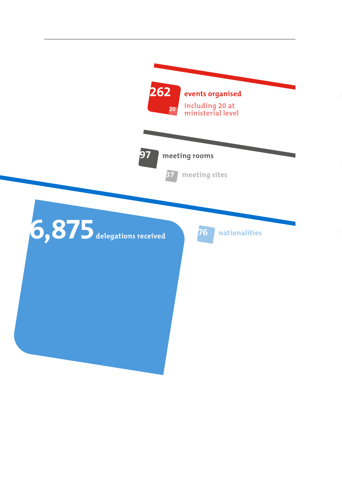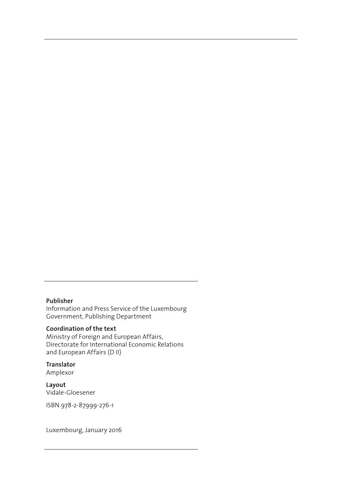#### **Publisher**

Information and Press Service of the Luxembourg Government, Publishing Department

#### **Coordination of the text**

Ministry of Foreign and European Affairs, Directorate for International Economic Relations and European Affairs (D II)

#### **Translator**

Amplexor

**Layout** Vidale-Gloesener

ISBN 978-2-87999-276-1

Luxembourg, January 2016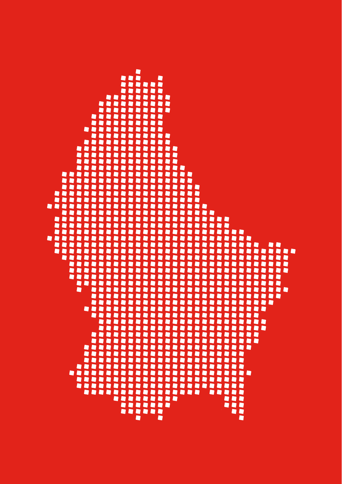